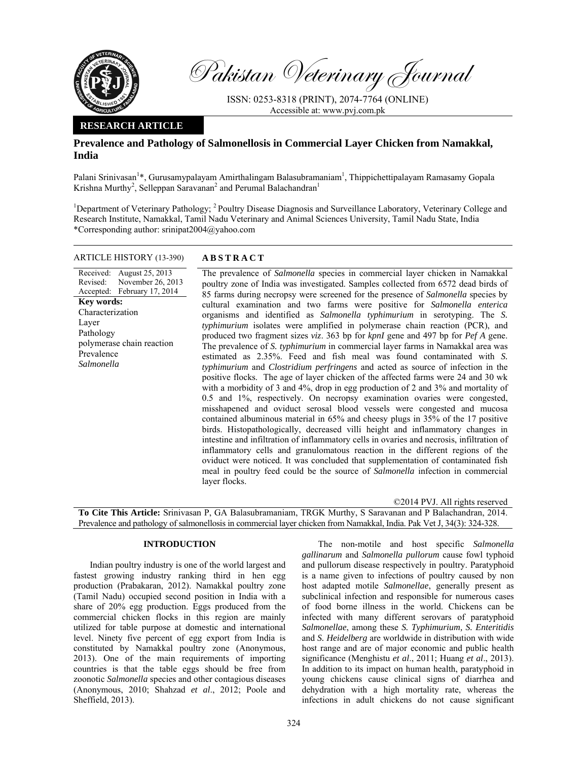

Pakistan Veterinary Journal

ISSN: 0253-8318 (PRINT), 2074-7764 (ONLINE) Accessible at: www.pvj.com.pk

## **RESEARCH ARTICLE**

# **Prevalence and Pathology of Salmonellosis in Commercial Layer Chicken from Namakkal, India**

Palani Srinivasan<sup>1</sup>\*, Gurusamypalayam Amirthalingam Balasubramaniam<sup>1</sup>, Thippichettipalayam Ramasamy Gopala Krishna Murthy<sup>2</sup>, Selleppan Saravanan<sup>2</sup> and Perumal Balachandran<sup>1</sup>

<sup>1</sup>Department of Veterinary Pathology; <sup>2</sup> Poultry Disease Diagnosis and Surveillance Laboratory, Veterinary College and Research Institute, Namakkal, Tamil Nadu Veterinary and Animal Sciences University, Tamil Nadu State, India \*Corresponding author: srinipat2004@yahoo.com

## ARTICLE HISTORY (13-390) **ABSTRACT**

#### Received: August 25, 2013 Revised: Accepted: November 26, 2013 February 17, 2014 **Key words:**  Characterization Layer Pathology polymerase chain reaction Prevalence *Salmonella*

 The prevalence of *Salmonella* species in commercial layer chicken in Namakkal poultry zone of India was investigated. Samples collected from 6572 dead birds of 85 farms during necropsy were screened for the presence of *Salmonella* species by cultural examination and two farms were positive for *Salmonella enterica* organisms and identified as *Salmonella typhimurium* in serotyping. The *S. typhimurium* isolates were amplified in polymerase chain reaction (PCR), and produced two fragment sizes *viz*. 363 bp for *kpnI* gene and 497 bp for *Pef A* gene. The prevalence of *S. typhimurium* in commercial layer farms in Namakkal area was estimated as 2.35%. Feed and fish meal was found contaminated with *S. typhimurium* and *Clostridium perfringens* and acted as source of infection in the positive flocks. The age of layer chicken of the affected farms were 24 and 30 wk with a morbidity of 3 and 4%, drop in egg production of 2 and 3% and mortality of 0.5 and 1%, respectively. On necropsy examination ovaries were congested, misshapened and oviduct serosal blood vessels were congested and mucosa contained albuminous material in 65% and cheesy plugs in 35% of the 17 positive birds. Histopathologically, decreased villi height and inflammatory changes in intestine and infiltration of inflammatory cells in ovaries and necrosis, infiltration of inflammatory cells and granulomatous reaction in the different regions of the oviduct were noticed. It was concluded that supplementation of contaminated fish meal in poultry feed could be the source of *Salmonella* infection in commercial layer flocks.

©2014 PVJ. All rights reserved **To Cite This Article:** Srinivasan P, GA Balasubramaniam, TRGK Murthy, S Saravanan and P Balachandran, 2014. Prevalence and pathology of salmonellosis in commercial layer chicken from Namakkal, India. Pak Vet J, 34(3): 324-328.

## **INTRODUCTION**

Indian poultry industry is one of the world largest and fastest growing industry ranking third in hen egg production (Prabakaran, 2012). Namakkal poultry zone (Tamil Nadu) occupied second position in India with a share of 20% egg production. Eggs produced from the commercial chicken flocks in this region are mainly utilized for table purpose at domestic and international level. Ninety five percent of egg export from India is constituted by Namakkal poultry zone (Anonymous, 2013). One of the main requirements of importing countries is that the table eggs should be free from zoonotic *Salmonella* species and other contagious diseases (Anonymous, 2010; Shahzad *et al*., 2012; Poole and Sheffield, 2013).

The non-motile and host specific *Salmonella gallinarum* and *Salmonella pullorum* cause fowl typhoid and pullorum disease respectively in poultry. Paratyphoid is a name given to infections of poultry caused by non host adapted motile *Salmonellae*, generally present as subclinical infection and responsible for numerous cases of food borne illness in the world. Chickens can be infected with many different serovars of paratyphoid *Salmonellae*, among these *S. Typhimurium, S. Enteritidis* and *S. Heidelberg* are worldwide in distribution with wide host range and are of major economic and public health significance (Menghistu *et al*., 2011; Huang *et al*., 2013). In addition to its impact on human health, paratyphoid in young chickens cause clinical signs of diarrhea and dehydration with a high mortality rate, whereas the infections in adult chickens do not cause significant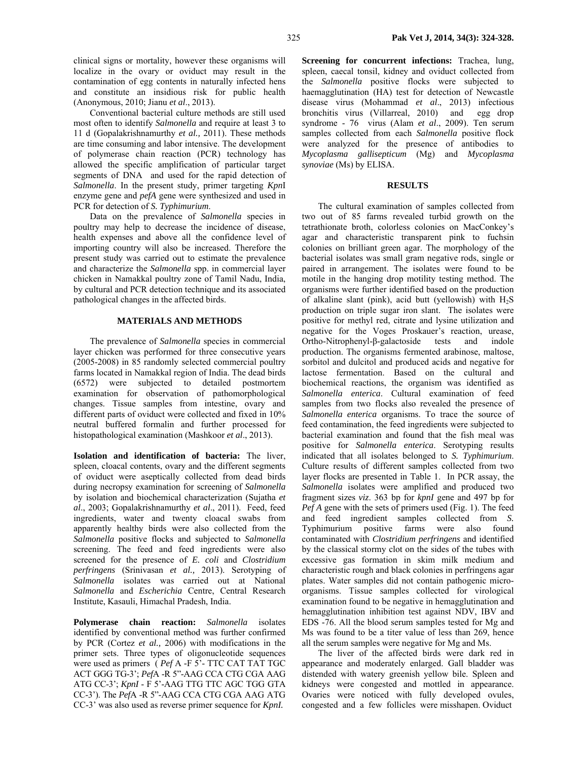clinical signs or mortality, however these organisms will localize in the ovary or oviduct may result in the contamination of egg contents in naturally infected hens and constitute an insidious risk for public health (Anonymous, 2010; Jianu *et al*., 2013).

Conventional bacterial culture methods are still used most often to identify *Salmonella* and require at least 3 to 11 d (Gopalakrishnamurthy *et al.,* 2011). These methods are time consuming and labor intensive. The development of polymerase chain reaction (PCR) technology has allowed the specific amplification of particular target segments of DNA and used for the rapid detection of *Salmonella*. In the present study, primer targeting *Kpn*I enzyme gene and *pefA* gene were synthesized and used in PCR for detection of *S. Typhimurium*.

Data on the prevalence of *Salmonella* species in poultry may help to decrease the incidence of disease, health expenses and above all the confidence level of importing country will also be increased. Therefore the present study was carried out to estimate the prevalence and characterize the *Salmonella* spp. in commercial layer chicken in Namakkal poultry zone of Tamil Nadu, India, by cultural and PCR detection technique and its associated pathological changes in the affected birds.

#### **MATERIALS AND METHODS**

The prevalence of *Salmonella* species in commercial layer chicken was performed for three consecutive years (2005-2008) in 85 randomly selected commercial poultry farms located in Namakkal region of India. The dead birds (6572) were subjected to detailed postmortem examination for observation of pathomorphological changes. Tissue samples from intestine, ovary and different parts of oviduct were collected and fixed in 10% neutral buffered formalin and further processed for histopathological examination (Mashkoor *et al*., 2013).

**Isolation and identification of bacteria:** The liver, spleen, cloacal contents, ovary and the different segments of oviduct were aseptically collected from dead birds during necropsy examination for screening of *Salmonella*  by isolation and biochemical characterization (Sujatha *et al*., 2003; Gopalakrishnamurthy *et al*., 2011). Feed, feed ingredients, water and twenty cloacal swabs from apparently healthy birds were also collected from the *Salmonella* positive flocks and subjected to *Salmonella* screening. The feed and feed ingredients were also screened for the presence of *E. coli* and *Clostridium perfringens* (Srinivasan *et al.,* 2013). Serotyping of *Salmonella* isolates was carried out at National *Salmonella* and *Escherichia* Centre, Central Research Institute, Kasauli, Himachal Pradesh, India.

**Polymerase chain reaction:** *Salmonella* isolates identified by conventional method was further confirmed by PCR (Cortez *et al.,* 2006) with modifications in the primer sets. Three types of oligonucleotide sequences were used as primers ( *Pef* A *-*F 5'- TTC CAT TAT TGC ACT GGG TG-3'; *Pef*A -R 5"-AAG CCA CTG CGA AAG ATG CC-3'; *KpnI* - F 5'-AAG TTG TTC AGC TGG GTA CC-3'). The *Pef*A -R 5"-AAG CCA CTG CGA AAG ATG CC-3' was also used as reverse primer sequence for *KpnI.* 

**Screening for concurrent infections:** Trachea, lung, spleen, caecal tonsil, kidney and oviduct collected from the *Salmonella* positive flocks were subjected to haemagglutination (HA) test for detection of Newcastle disease virus (Mohammad *et al*., 2013) infectious bronchitis virus (Villarreal, 2010) and egg drop syndrome - 76 virus (Alam *et al*., 2009). Ten serum samples collected from each *Salmonella* positive flock were analyzed for the presence of antibodies to *Mycoplasma gallisepticum* (Mg) and *Mycoplasma synoviae* (Ms) by ELISA.

# **RESULTS**

The cultural examination of samples collected from two out of 85 farms revealed turbid growth on the tetrathionate broth, colorless colonies on MacConkey's agar and characteristic transparent pink to fuchsin colonies on brilliant green agar. The morphology of the bacterial isolates was small gram negative rods, single or paired in arrangement. The isolates were found to be motile in the hanging drop motility testing method. The organisms were further identified based on the production of alkaline slant (pink), acid butt (yellowish) with  $H_2S$ production on triple sugar iron slant. The isolates were positive for methyl red, citrate and lysine utilization and negative for the Voges Proskauer's reaction, urease, Ortho-Nitrophenyl-β-galactoside tests and indole production. The organisms fermented arabinose, maltose, sorbitol and dulcitol and produced acids and negative for lactose fermentation. Based on the cultural and biochemical reactions, the organism was identified as *Salmonella enterica*. Cultural examination of feed samples from two flocks also revealed the presence of *Salmonella enterica* organisms. To trace the source of feed contamination, the feed ingredients were subjected to bacterial examination and found that the fish meal was positive for *Salmonella enterica*. Serotyping results indicated that all isolates belonged to *S. Typhimurium*. Culture results of different samples collected from two layer flocks are presented in Table 1. In PCR assay, the *Salmonella* isolates were amplified and produced two fragment sizes *viz*. 363 bp for *kpnI* gene and 497 bp for *Pef A* gene with the sets of primers used (Fig. 1). The feed and feed ingredient samples collected from *S.*  Typhimurium positive farms were also found contaminated with *Clostridium perfringens* and identified by the classical stormy clot on the sides of the tubes with excessive gas formation in skim milk medium and characteristic rough and black colonies in perfringens agar plates. Water samples did not contain pathogenic microorganisms. Tissue samples collected for virological examination found to be negative in hemagglutination and hemagglutination inhibition test against NDV, IBV and EDS -76. All the blood serum samples tested for Mg and Ms was found to be a titer value of less than 269, hence all the serum samples were negative for Mg and Ms.

The liver of the affected birds were dark red in appearance and moderately enlarged. Gall bladder was distended with watery greenish yellow bile. Spleen and kidneys were congested and mottled in appearance. Ovaries were noticed with fully developed ovules, congested and a few follicles were misshapen. Oviduct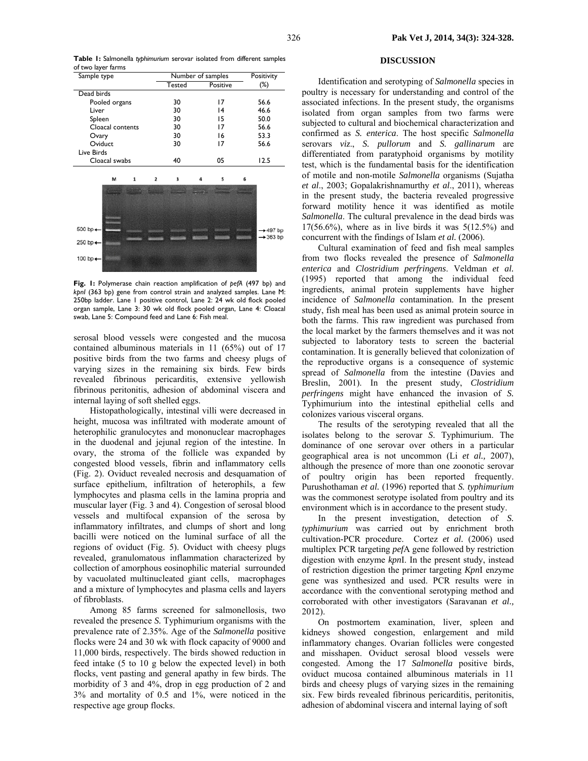**Table 1:** Salmonella *typhimurium* serovar isolated from different samples of two layer farms

| Sample type                               |   |                         | Number of samples |  |          |   | Positivity |
|-------------------------------------------|---|-------------------------|-------------------|--|----------|---|------------|
|                                           |   |                         | <b>Tested</b>     |  | Positive |   | $(\%)$     |
| Dead birds                                |   |                         |                   |  |          |   |            |
| Pooled organs                             |   |                         | 30                |  | 17       |   | 56.6       |
| Liver                                     |   |                         | 30                |  | 4        |   | 46.6       |
| Spleen                                    |   |                         | 30                |  | 15       |   | 50.0       |
| Cloacal contents                          |   |                         | 30                |  | 17       |   | 56.6       |
| Ovary                                     |   |                         | 30                |  | 16       |   | 53.3       |
| Oviduct                                   |   |                         | 30                |  | 17       |   | 56.6       |
| Live Birds                                |   |                         |                   |  |          |   |            |
| Cloacal swabs                             |   |                         | 40                |  | 05       |   | 12.5       |
|                                           |   |                         |                   |  |          |   |            |
| M                                         | 1 | $\overline{\mathbf{2}}$ | 3                 |  | 5        | 6 |            |
|                                           |   |                         |                   |  |          |   |            |
|                                           |   |                         |                   |  |          |   |            |
|                                           |   |                         |                   |  |          |   |            |
|                                           |   |                         |                   |  |          |   |            |
|                                           |   |                         |                   |  |          |   |            |
|                                           |   |                         |                   |  |          |   | +497 bp    |
|                                           |   |                         |                   |  |          |   |            |
|                                           |   |                         |                   |  |          |   |            |
|                                           |   |                         |                   |  |          |   |            |
|                                           |   |                         |                   |  |          |   |            |
| 500 bp+<br>250 bp+<br>100 bp $\leftarrow$ |   |                         |                   |  |          |   | $+363 bp$  |

**Fig. 1:** Polymerase chain reaction amplification of *pefA* (497 bp) and *kpnI* (363 bp) gene from control strain and analyzed samples. Lane M: 250bp ladder. Lane 1 positive control, Lane 2: 24 wk old flock pooled organ sample, Lane 3: 30 wk old flock pooled organ, Lane 4: Cloacal swab, Lane 5: Compound feed and Lane 6: Fish meal.

serosal blood vessels were congested and the mucosa contained albuminous materials in 11 (65%) out of 17 positive birds from the two farms and cheesy plugs of varying sizes in the remaining six birds. Few birds revealed fibrinous pericarditis, extensive yellowish fibrinous peritonitis, adhesion of abdominal viscera and internal laying of soft shelled eggs.

Histopathologically, intestinal villi were decreased in height, mucosa was infiltrated with moderate amount of heterophilic granulocytes and mononuclear macrophages in the duodenal and jejunal region of the intestine. In ovary, the stroma of the follicle was expanded by congested blood vessels, fibrin and inflammatory cells (Fig. 2). Oviduct revealed necrosis and desquamation of surface epithelium, infiltration of heterophils, a few lymphocytes and plasma cells in the lamina propria and muscular layer (Fig. 3 and 4). Congestion of serosal blood vessels and multifocal expansion of the serosa by inflammatory infiltrates, and clumps of short and long bacilli were noticed on the luminal surface of all the regions of oviduct (Fig. 5). Oviduct with cheesy plugs revealed, granulomatous inflammation characterized by collection of amorphous eosinophilic material surrounded by vacuolated multinucleated giant cells, macrophages and a mixture of lymphocytes and plasma cells and layers of fibroblasts.

Among 85 farms screened for salmonellosis, two revealed the presence *S.* Typhimurium organisms with the prevalence rate of 2.35%. Age of the *Salmonella* positive flocks were 24 and 30 wk with flock capacity of 9000 and 11,000 birds, respectively. The birds showed reduction in feed intake (5 to 10 g below the expected level) in both flocks, vent pasting and general apathy in few birds. The morbidity of 3 and 4%, drop in egg production of 2 and 3% and mortality of 0.5 and 1%, were noticed in the respective age group flocks.

#### **DISCUSSION**

Identification and serotyping of *Salmonella* species in poultry is necessary for understanding and control of the associated infections. In the present study, the organisms isolated from organ samples from two farms were subjected to cultural and biochemical characterization and confirmed as *S. enterica*. The host specific *Salmonella* serovars *viz*., *S. pullorum* and *S. gallinarum* are differentiated from paratyphoid organisms by motility test, which is the fundamental basis for the identification of motile and non-motile *Salmonella* organisms (Sujatha *et al*., 2003; Gopalakrishnamurthy *et al*., 2011), whereas in the present study, the bacteria revealed progressive forward motility hence it was identified as motile *Salmonella*. The cultural prevalence in the dead birds was  $17(56.6\%)$ , where as in live birds it was  $5(12.5\%)$  and concurrent with the findings of Islam *et al.* (2006).

Cultural examination of feed and fish meal samples from two flocks revealed the presence of *Salmonella enterica* and *Clostridium perfringens*. Veldman *et al.* (1995) reported that among the individual feed ingredients, animal protein supplements have higher incidence of *Salmonella* contamination. In the present study, fish meal has been used as animal protein source in both the farms. This raw ingredient was purchased from the local market by the farmers themselves and it was not subjected to laboratory tests to screen the bacterial contamination. It is generally believed that colonization of the reproductive organs is a consequence of systemic spread of *Salmonella* from the intestine (Davies and Breslin, 2001). In the present study, *Clostridium perfringens* might have enhanced the invasion of *S.*  Typhimurium into the intestinal epithelial cells and colonizes various visceral organs.

The results of the serotyping revealed that all the isolates belong to the serovar *S*. Typhimurium. The dominance of one serovar over others in a particular geographical area is not uncommon (Li *et al.,* 2007), although the presence of more than one zoonotic serovar of poultry origin has been reported frequently. Purushothaman *et al.* (1996) reported that *S. typhimurium*  was the commonest serotype isolated from poultry and its environment which is in accordance to the present study.

In the present investigation, detection of *S. typhimurium* was carried out by enrichment broth cultivation-PCR procedure. Cortez *et al.* (2006) used multiplex PCR targeting *pef*A gene followed by restriction digestion with enzyme *kpn*I. In the present study, instead of restriction digestion the primer targeting *Kpn*I enzyme gene was synthesized and used. PCR results were in accordance with the conventional serotyping method and corroborated with other investigators (Saravanan *et al.,* 2012).

On postmortem examination, liver, spleen and kidneys showed congestion, enlargement and mild inflammatory changes. Ovarian follicles were congested and misshapen. Oviduct serosal blood vessels were congested. Among the 17 *Salmonella* positive birds, oviduct mucosa contained albuminous materials in 11 birds and cheesy plugs of varying sizes in the remaining six. Few birds revealed fibrinous pericarditis, peritonitis, adhesion of abdominal viscera and internal laying of soft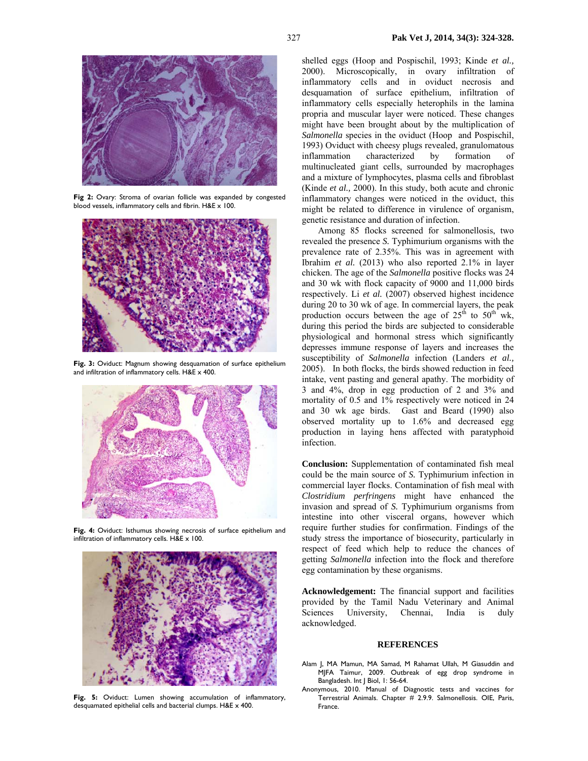

**Fig 2:** Ovary: Stroma of ovarian follicle was expanded by congested blood vessels, inflammatory cells and fibrin. H&E x 100.



**Fig. 3:** Oviduct: Magnum showing desquamation of surface epithelium and infiltration of inflammatory cells. H&E x 400.



**Fig. 4:** Oviduct: Isthumus showing necrosis of surface epithelium and infiltration of inflammatory cells. H&E x 100.



**Fig. 5:** Oviduct: Lumen showing accumulation of inflammatory, desquamated epithelial cells and bacterial clumps. H&E x 400.

shelled eggs (Hoop and Pospischil, 1993; Kinde *et al.,* 2000). Microscopically, in ovary infiltration of inflammatory cells and in oviduct necrosis and desquamation of surface epithelium, infiltration of inflammatory cells especially heterophils in the lamina propria and muscular layer were noticed. These changes might have been brought about by the multiplication of *Salmonella* species in the oviduct (Hoop and Pospischil, 1993) Oviduct with cheesy plugs revealed, granulomatous inflammation characterized by formation of multinucleated giant cells, surrounded by macrophages and a mixture of lymphocytes, plasma cells and fibroblast (Kinde *et al.,* 2000). In this study, both acute and chronic inflammatory changes were noticed in the oviduct, this might be related to difference in virulence of organism, genetic resistance and duration of infection.

Among 85 flocks screened for salmonellosis, two revealed the presence *S.* Typhimurium organisms with the prevalence rate of 2.35%. This was in agreement with Ibrahim *et al.* (2013) who also reported 2.1% in layer chicken. The age of the *Salmonella* positive flocks was 24 and 30 wk with flock capacity of 9000 and 11,000 birds respectively. Li *et al.* (2007) observed highest incidence during 20 to 30 wk of age. In commercial layers, the peak production occurs between the age of  $25<sup>th</sup>$  to  $50<sup>th</sup>$  wk, during this period the birds are subjected to considerable physiological and hormonal stress which significantly depresses immune response of layers and increases the susceptibility of *Salmonella* infection (Landers *et al.,* 2005). In both flocks, the birds showed reduction in feed intake, vent pasting and general apathy. The morbidity of 3 and 4%, drop in egg production of 2 and 3% and mortality of 0.5 and 1% respectively were noticed in 24 and 30 wk age birds. Gast and Beard (1990) also observed mortality up to 1.6% and decreased egg production in laying hens affected with paratyphoid infection.

**Conclusion:** Supplementation of contaminated fish meal could be the main source of *S.* Typhimurium infection in commercial layer flocks. Contamination of fish meal with *Clostridium perfringens* might have enhanced the invasion and spread of *S.* Typhimurium organisms from intestine into other visceral organs, however which require further studies for confirmation. Findings of the study stress the importance of biosecurity, particularly in respect of feed which help to reduce the chances of getting *Salmonella* infection into the flock and therefore egg contamination by these organisms.

**Acknowledgement:** The financial support and facilities provided by the Tamil Nadu Veterinary and Animal Sciences University, Chennai, India is duly acknowledged.

#### **REFERENCES**

- Alam J, MA Mamun, MA Samad, M Rahamat Ullah, M Giasuddin and MJFA Taimur, 2009. Outbreak of egg drop syndrome in Bangladesh. Int | Biol, 1: 56-64.
- Anonymous, 2010. Manual of Diagnostic tests and vaccines for Terrestrial Animals. Chapter # 2.9.9. Salmonellosis. OIE, Paris, France.